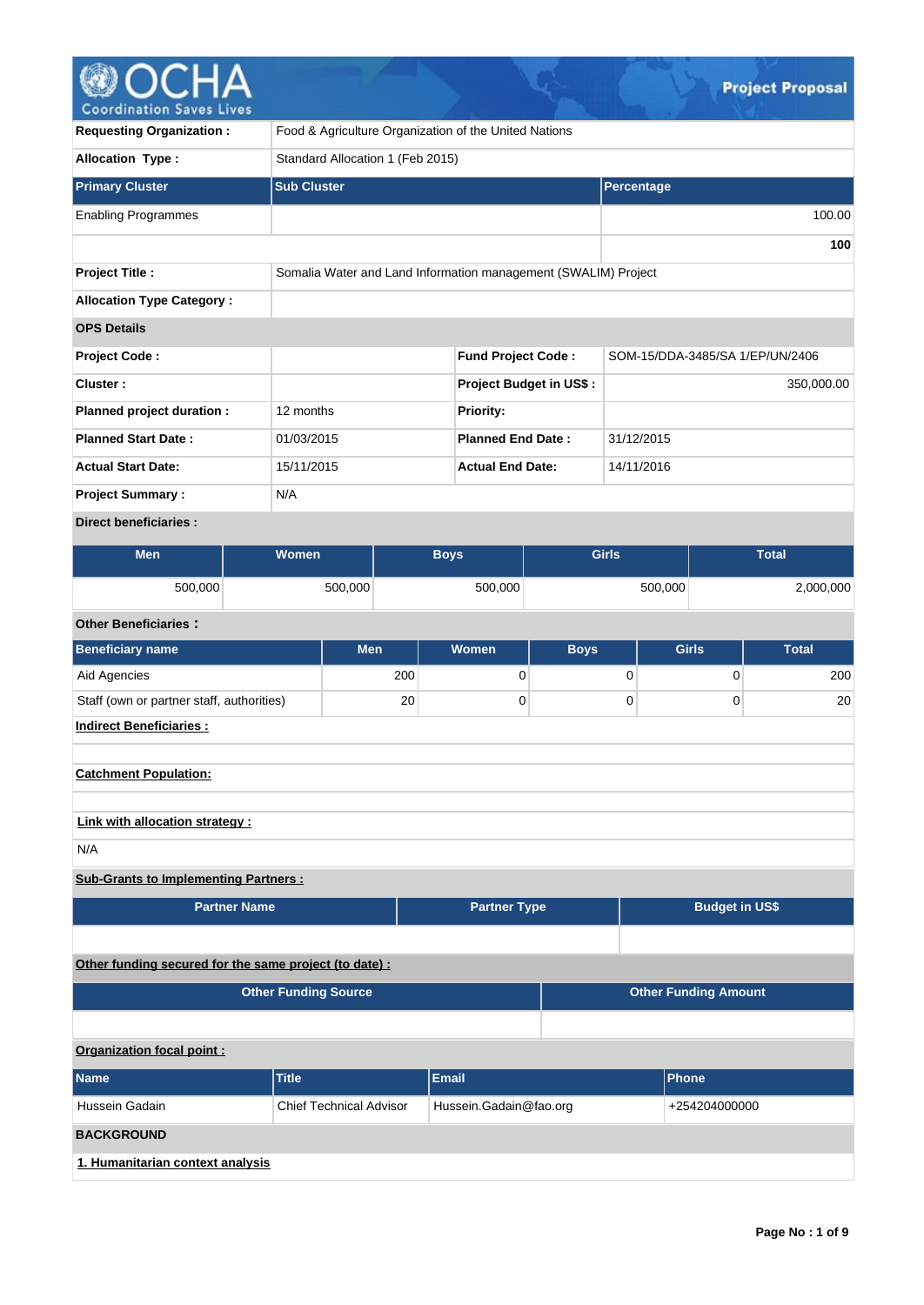# **@OCHA**

| Coordination baves Lives                                                   |                                                                |            |                           |                         |                                 |                             |              |
|----------------------------------------------------------------------------|----------------------------------------------------------------|------------|---------------------------|-------------------------|---------------------------------|-----------------------------|--------------|
| <b>Requesting Organization:</b>                                            | Food & Agriculture Organization of the United Nations          |            |                           |                         |                                 |                             |              |
| <b>Allocation Type:</b>                                                    | Standard Allocation 1 (Feb 2015)                               |            |                           |                         |                                 |                             |              |
| <b>Primary Cluster</b>                                                     | <b>Sub Cluster</b>                                             |            |                           |                         | Percentage                      |                             |              |
| <b>Enabling Programmes</b>                                                 |                                                                |            |                           |                         |                                 |                             | 100.00       |
|                                                                            |                                                                |            |                           |                         |                                 |                             | 100          |
| <b>Project Title:</b>                                                      | Somalia Water and Land Information management (SWALIM) Project |            |                           |                         |                                 |                             |              |
| <b>Allocation Type Category:</b>                                           |                                                                |            |                           |                         |                                 |                             |              |
| <b>OPS Details</b>                                                         |                                                                |            |                           |                         |                                 |                             |              |
| Project Code:                                                              |                                                                |            | <b>Fund Project Code:</b> |                         | SOM-15/DDA-3485/SA 1/EP/UN/2406 |                             |              |
| Cluster:                                                                   |                                                                |            |                           | Project Budget in US\$: |                                 |                             | 350,000.00   |
| Planned project duration :                                                 | 12 months                                                      |            | Priority:                 |                         |                                 |                             |              |
| <b>Planned Start Date:</b>                                                 | 01/03/2015                                                     |            | <b>Planned End Date:</b>  |                         | 31/12/2015                      |                             |              |
| <b>Actual Start Date:</b>                                                  | 15/11/2015                                                     |            | <b>Actual End Date:</b>   |                         | 14/11/2016                      |                             |              |
| <b>Project Summary:</b>                                                    | N/A                                                            |            |                           |                         |                                 |                             |              |
| <b>Direct beneficiaries:</b>                                               |                                                                |            |                           |                         |                                 |                             |              |
| <b>Men</b>                                                                 | Women                                                          |            | <b>Boys</b>               |                         | <b>Girls</b>                    |                             | <b>Total</b> |
| 500,000                                                                    | 500,000                                                        |            | 500,000                   |                         | 500,000                         |                             | 2,000,000    |
| <b>Other Beneficiaries:</b>                                                |                                                                |            |                           |                         |                                 |                             |              |
| <b>Beneficiary name</b>                                                    |                                                                | <b>Men</b> | <b>Women</b>              | <b>Boys</b>             |                                 | <b>Girls</b>                | <b>Total</b> |
| Aid Agencies                                                               |                                                                | 200        |                           | 0                       | 0                               | 0                           | 200          |
| Staff (own or partner staff, authorities)                                  |                                                                | 20         |                           | 0                       | 0                               | 0                           | 20           |
| Indirect Beneficiaries :                                                   |                                                                |            |                           |                         |                                 |                             |              |
| <b>Catchment Population:</b>                                               |                                                                |            |                           |                         |                                 |                             |              |
|                                                                            |                                                                |            |                           |                         |                                 |                             |              |
| Link with allocation strategy :                                            |                                                                |            |                           |                         |                                 |                             |              |
| N/A                                                                        |                                                                |            |                           |                         |                                 |                             |              |
| <b>Sub-Grants to Implementing Partners:</b>                                |                                                                |            |                           |                         |                                 |                             |              |
| <b>Partner Name</b>                                                        |                                                                |            | <b>Partner Type</b>       |                         |                                 | <b>Budget in US\$</b>       |              |
|                                                                            |                                                                |            |                           |                         |                                 |                             |              |
| Other funding secured for the same project (to date) :                     |                                                                |            |                           |                         |                                 |                             |              |
|                                                                            | <b>Other Funding Source</b>                                    |            |                           |                         |                                 | <b>Other Funding Amount</b> |              |
|                                                                            |                                                                |            |                           |                         |                                 |                             |              |
| Organization focal point :                                                 |                                                                |            |                           |                         |                                 |                             |              |
| <b>Name</b>                                                                | <b>Title</b>                                                   |            | <b>Email</b>              |                         | <b>Phone</b>                    |                             |              |
| Hussein Gadain<br><b>Chief Technical Advisor</b><br>Hussein.Gadain@fao.org |                                                                |            |                           |                         | +254204000000                   |                             |              |
| <b>BACKGROUND</b>                                                          |                                                                |            |                           |                         |                                 |                             |              |
| 1. Humanitarian context analysis                                           |                                                                |            |                           |                         |                                 |                             |              |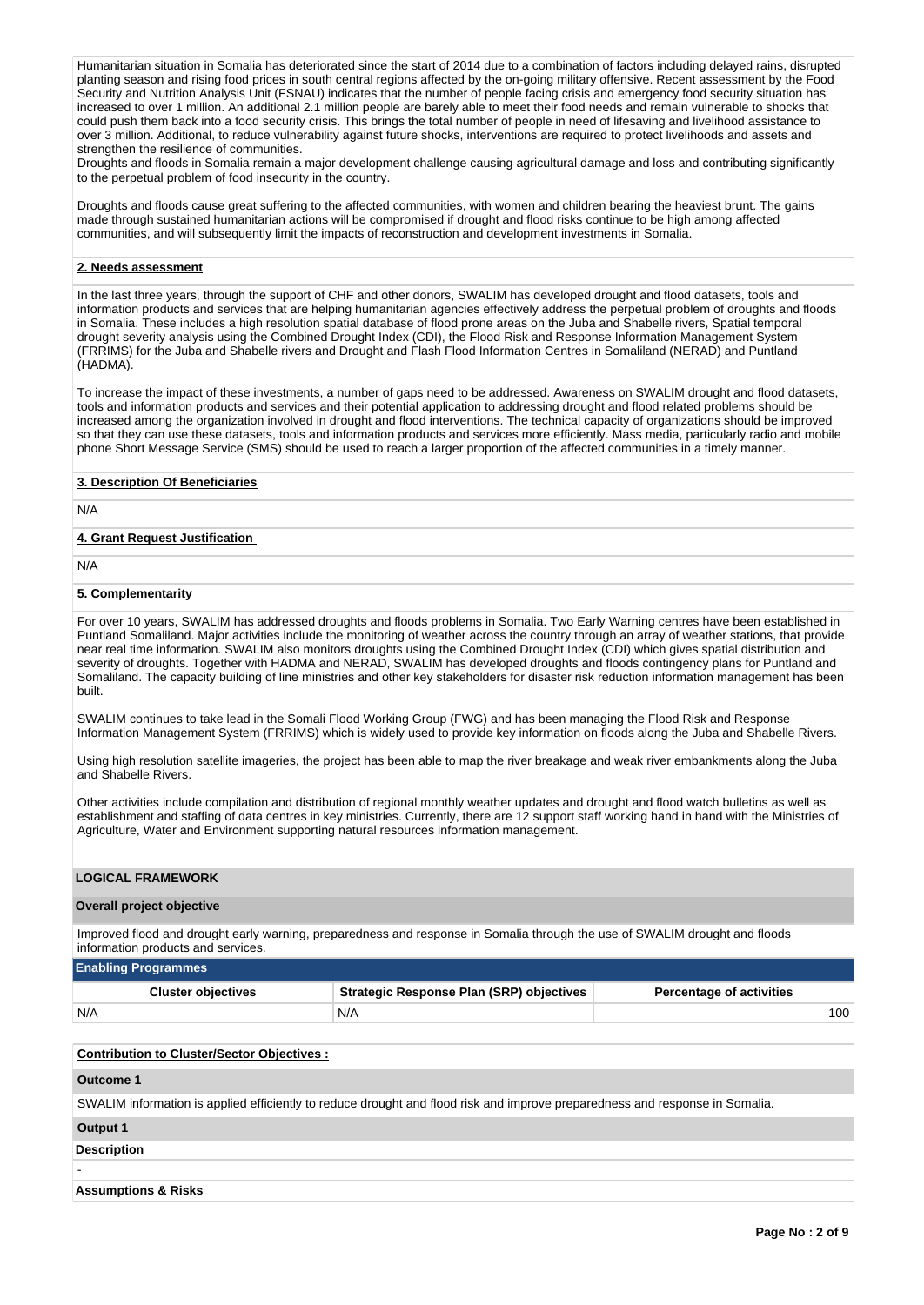Humanitarian situation in Somalia has deteriorated since the start of 2014 due to a combination of factors including delayed rains, disrupted planting season and rising food prices in south central regions affected by the on-going military offensive. Recent assessment by the Food Security and Nutrition Analysis Unit (FSNAU) indicates that the number of people facing crisis and emergency food security situation has increased to over 1 million. An additional 2.1 million people are barely able to meet their food needs and remain vulnerable to shocks that could push them back into a food security crisis. This brings the total number of people in need of lifesaving and livelihood assistance to over 3 million. Additional, to reduce vulnerability against future shocks, interventions are required to protect livelihoods and assets and strengthen the resilience of communities.

Droughts and floods in Somalia remain a major development challenge causing agricultural damage and loss and contributing significantly to the perpetual problem of food insecurity in the country.

Droughts and floods cause great suffering to the affected communities, with women and children bearing the heaviest brunt. The gains made through sustained humanitarian actions will be compromised if drought and flood risks continue to be high among affected communities, and will subsequently limit the impacts of reconstruction and development investments in Somalia.

#### **2. Needs assessment**

In the last three years, through the support of CHF and other donors, SWALIM has developed drought and flood datasets, tools and information products and services that are helping humanitarian agencies effectively address the perpetual problem of droughts and floods in Somalia. These includes a high resolution spatial database of flood prone areas on the Juba and Shabelle rivers, Spatial temporal drought severity analysis using the Combined Drought Index (CDI), the Flood Risk and Response Information Management System (FRRIMS) for the Juba and Shabelle rivers and Drought and Flash Flood Information Centres in Somaliland (NERAD) and Puntland (HADMA).

To increase the impact of these investments, a number of gaps need to be addressed. Awareness on SWALIM drought and flood datasets, tools and information products and services and their potential application to addressing drought and flood related problems should be increased among the organization involved in drought and flood interventions. The technical capacity of organizations should be improved so that they can use these datasets, tools and information products and services more efficiently. Mass media, particularly radio and mobile phone Short Message Service (SMS) should be used to reach a larger proportion of the affected communities in a timely manner.

#### **3. Description Of Beneficiaries**

N/A

#### **4. Grant Request Justification**

N/A

#### **5. Complementarity**

For over 10 years, SWALIM has addressed droughts and floods problems in Somalia. Two Early Warning centres have been established in Puntland Somaliland. Major activities include the monitoring of weather across the country through an array of weather stations, that provide near real time information. SWALIM also monitors droughts using the Combined Drought Index (CDI) which gives spatial distribution and severity of droughts. Together with HADMA and NERAD, SWALIM has developed droughts and floods contingency plans for Puntland and Somaliland. The capacity building of line ministries and other key stakeholders for disaster risk reduction information management has been built.

SWALIM continues to take lead in the Somali Flood Working Group (FWG) and has been managing the Flood Risk and Response Information Management System (FRRIMS) which is widely used to provide key information on floods along the Juba and Shabelle Rivers.

Using high resolution satellite imageries, the project has been able to map the river breakage and weak river embankments along the Juba and Shabelle Rivers.

Other activities include compilation and distribution of regional monthly weather updates and drought and flood watch bulletins as well as establishment and staffing of data centres in key ministries. Currently, there are 12 support staff working hand in hand with the Ministries of Agriculture, Water and Environment supporting natural resources information management.

#### **LOGICAL FRAMEWORK**

#### **Overall project objective**

Improved flood and drought early warning, preparedness and response in Somalia through the use of SWALIM drought and floods information products and services.

#### **Enabling Programmes**

| <b>Cluster objectives</b> | Strategic Response Plan (SRP) objectives | <b>Percentage of activities</b> |
|---------------------------|------------------------------------------|---------------------------------|
| N/A                       | N/A                                      | 100                             |

| <b>Contribution to Cluster/Sector Objectives:</b>                                                                            |  |
|------------------------------------------------------------------------------------------------------------------------------|--|
| Outcome 1                                                                                                                    |  |
| SWALIM information is applied efficiently to reduce drought and flood risk and improve preparedness and response in Somalia. |  |
| Output 1                                                                                                                     |  |
| <b>Description</b>                                                                                                           |  |
|                                                                                                                              |  |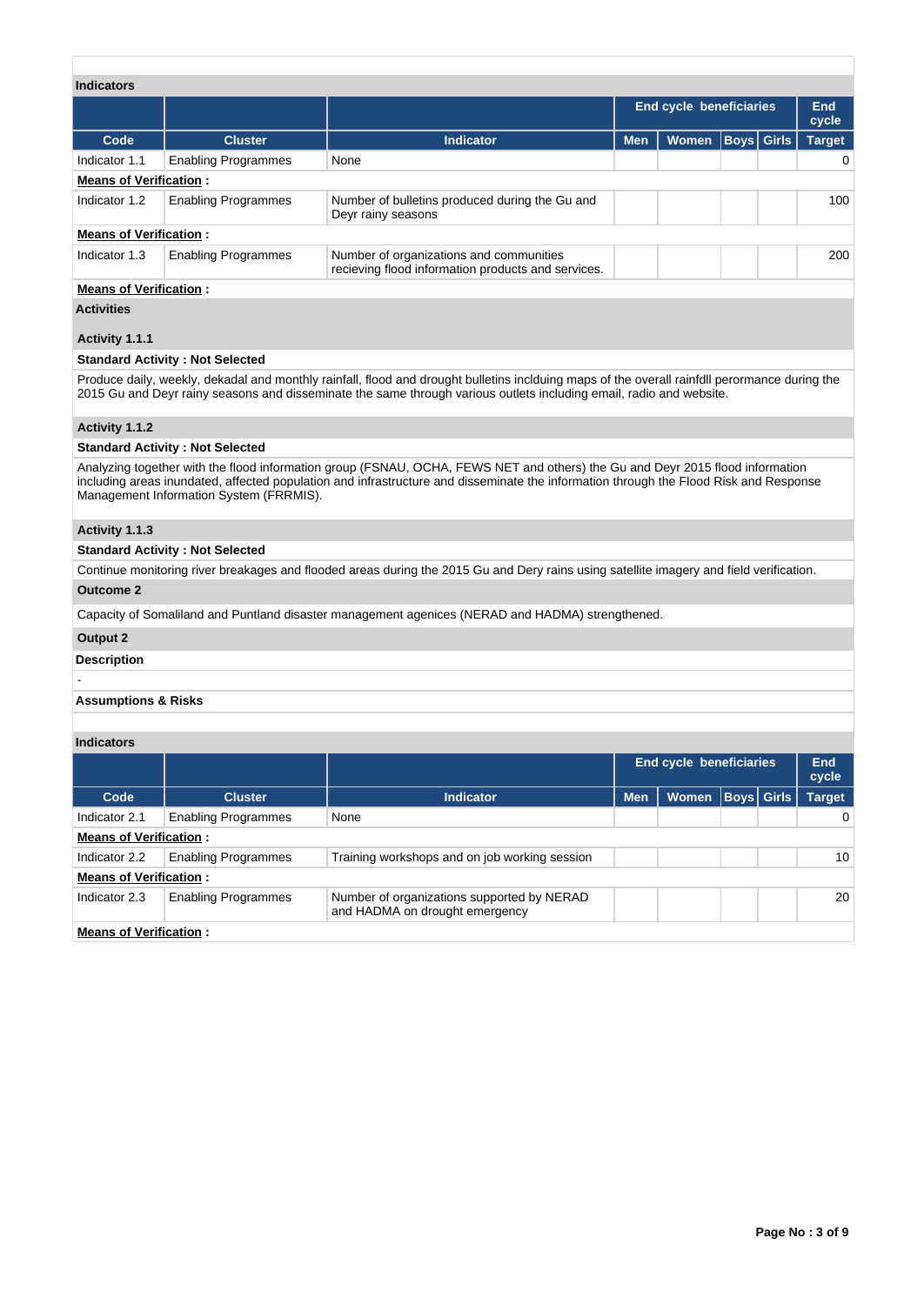| <b>Indicators</b>             | <b>End cycle beneficiaries</b>          |                                                                                                                                                                                                                                                                        |            |              |                   |  |               |  |  |  |  |  |
|-------------------------------|-----------------------------------------|------------------------------------------------------------------------------------------------------------------------------------------------------------------------------------------------------------------------------------------------------------------------|------------|--------------|-------------------|--|---------------|--|--|--|--|--|
|                               |                                         |                                                                                                                                                                                                                                                                        |            |              |                   |  | End<br>cycle  |  |  |  |  |  |
| Code                          | <b>Cluster</b>                          | <b>Indicator</b>                                                                                                                                                                                                                                                       | <b>Men</b> | <b>Women</b> | <b>Boys Girls</b> |  | <b>Target</b> |  |  |  |  |  |
| Indicator 1.1                 | <b>Enabling Programmes</b>              | None                                                                                                                                                                                                                                                                   |            |              |                   |  | 0             |  |  |  |  |  |
| <b>Means of Verification:</b> |                                         |                                                                                                                                                                                                                                                                        |            |              |                   |  |               |  |  |  |  |  |
| Indicator 1.2                 | <b>Enabling Programmes</b>              | Number of bulletins produced during the Gu and<br>Deyr rainy seasons                                                                                                                                                                                                   |            |              |                   |  | 100           |  |  |  |  |  |
| <b>Means of Verification:</b> |                                         |                                                                                                                                                                                                                                                                        |            |              |                   |  |               |  |  |  |  |  |
| Indicator 1.3                 | <b>Enabling Programmes</b>              | Number of organizations and communities<br>recieving flood information products and services.                                                                                                                                                                          |            |              |                   |  | 200           |  |  |  |  |  |
| <b>Means of Verification:</b> |                                         |                                                                                                                                                                                                                                                                        |            |              |                   |  |               |  |  |  |  |  |
| <b>Activities</b>             |                                         |                                                                                                                                                                                                                                                                        |            |              |                   |  |               |  |  |  |  |  |
| Activity 1.1.1                |                                         |                                                                                                                                                                                                                                                                        |            |              |                   |  |               |  |  |  |  |  |
|                               | <b>Standard Activity: Not Selected</b>  |                                                                                                                                                                                                                                                                        |            |              |                   |  |               |  |  |  |  |  |
|                               |                                         |                                                                                                                                                                                                                                                                        |            |              |                   |  |               |  |  |  |  |  |
|                               |                                         | Produce daily, weekly, dekadal and monthly rainfall, flood and drought bulletins inclduing maps of the overall rainfdll perormance during the<br>2015 Gu and Deyr rainy seasons and disseminate the same through various outlets including email, radio and website.   |            |              |                   |  |               |  |  |  |  |  |
| Activity 1.1.2                |                                         |                                                                                                                                                                                                                                                                        |            |              |                   |  |               |  |  |  |  |  |
|                               | <b>Standard Activity: Not Selected</b>  |                                                                                                                                                                                                                                                                        |            |              |                   |  |               |  |  |  |  |  |
|                               | Management Information System (FRRMIS). | Analyzing together with the flood information group (FSNAU, OCHA, FEWS NET and others) the Gu and Deyr 2015 flood information<br>including areas inundated, affected population and infrastructure and disseminate the information through the Flood Risk and Response |            |              |                   |  |               |  |  |  |  |  |
| Activity 1.1.3                |                                         |                                                                                                                                                                                                                                                                        |            |              |                   |  |               |  |  |  |  |  |
|                               | <b>Standard Activity: Not Selected</b>  |                                                                                                                                                                                                                                                                        |            |              |                   |  |               |  |  |  |  |  |
|                               |                                         | Continue monitoring river breakages and flooded areas during the 2015 Gu and Dery rains using satellite imagery and field verification.                                                                                                                                |            |              |                   |  |               |  |  |  |  |  |
| <b>Outcome 2</b>              |                                         |                                                                                                                                                                                                                                                                        |            |              |                   |  |               |  |  |  |  |  |
|                               |                                         | Capacity of Somaliland and Puntland disaster management agenices (NERAD and HADMA) strengthened.                                                                                                                                                                       |            |              |                   |  |               |  |  |  |  |  |
| Output 2                      |                                         |                                                                                                                                                                                                                                                                        |            |              |                   |  |               |  |  |  |  |  |
| <b>Description</b>            |                                         |                                                                                                                                                                                                                                                                        |            |              |                   |  |               |  |  |  |  |  |

## **Assumptions & Risks**

## **Indicators**

-

|                               |                            |                                                                              |            | End cycle beneficiaries |                   | End<br>cycle  |
|-------------------------------|----------------------------|------------------------------------------------------------------------------|------------|-------------------------|-------------------|---------------|
| Code                          | <b>Cluster</b>             | <b>Indicator</b>                                                             | <b>Men</b> | <b>Women</b>            | <b>Boys Girls</b> | <b>Target</b> |
| Indicator 2.1                 | <b>Enabling Programmes</b> | None                                                                         |            |                         |                   | 0             |
| <b>Means of Verification:</b> |                            |                                                                              |            |                         |                   |               |
| Indicator 2.2                 | <b>Enabling Programmes</b> | Training workshops and on job working session                                |            |                         |                   | 10            |
| <b>Means of Verification:</b> |                            |                                                                              |            |                         |                   |               |
| Indicator 2.3                 | <b>Enabling Programmes</b> | Number of organizations supported by NERAD<br>and HADMA on drought emergency |            |                         |                   | 20            |
| <b>Means of Verification:</b> |                            |                                                                              |            |                         |                   |               |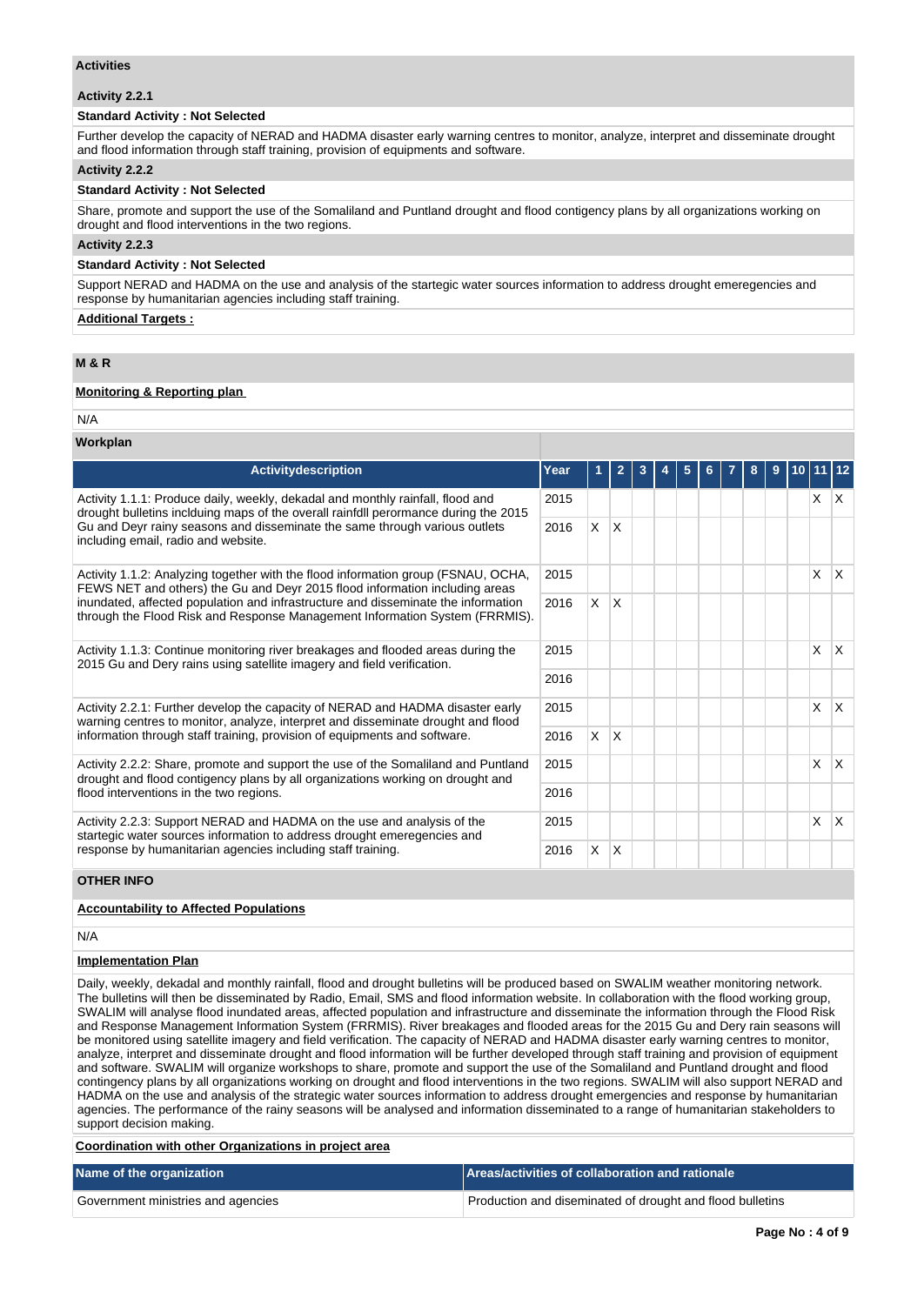#### **Activities**

#### **Activity 2.2.1**

#### **Standard Activity : Not Selected**

Further develop the capacity of NERAD and HADMA disaster early warning centres to monitor, analyze, interpret and disseminate drought and flood information through staff training, provision of equipments and software.

#### **Activity 2.2.2**

#### **Standard Activity : Not Selected**

Share, promote and support the use of the Somaliland and Puntland drought and flood contigency plans by all organizations working on drought and flood interventions in the two regions.

#### **Activity 2.2.3**

#### **Standard Activity : Not Selected**

Support NERAD and HADMA on the use and analysis of the startegic water sources information to address drought emeregencies and response by humanitarian agencies including staff training.

#### **Additional Targets :**

# **M & R**

#### **Monitoring & Reporting plan**

N/A

#### **Workplan**

| Activitydescription                                                                                                                                                                                                              | Year |          | $\mathbf{2}$ | 3 | 5 | 6 | 8 | 9 | 10 I | 11 12 |                        |
|----------------------------------------------------------------------------------------------------------------------------------------------------------------------------------------------------------------------------------|------|----------|--------------|---|---|---|---|---|------|-------|------------------------|
| Activity 1.1.1: Produce daily, weekly, dekadal and monthly rainfall, flood and<br>drought bulletins inclduing maps of the overall rainfdll perormance during the 2015                                                            |      |          |              |   |   |   |   |   |      | X.    | $\mathsf{X}$           |
| Gu and Deyr rainy seasons and disseminate the same through various outlets<br>including email, radio and website.                                                                                                                | 2016 | $\times$ | X            |   |   |   |   |   |      |       |                        |
| Activity 1.1.2: Analyzing together with the flood information group (FSNAU, OCHA,<br>FEWS NET and others) the Gu and Deyr 2015 flood information including areas                                                                 |      |          |              |   |   |   |   |   |      | X     | $\mathsf{I}\mathsf{X}$ |
| inundated, affected population and infrastructure and disseminate the information<br>through the Flood Risk and Response Management Information System (FRRMIS).                                                                 | 2016 | X.       | X            |   |   |   |   |   |      |       |                        |
| Activity 1.1.3: Continue monitoring river breakages and flooded areas during the<br>2015 Gu and Dery rains using satellite imagery and field verification.                                                                       |      |          |              |   |   |   |   |   |      | X     | ΙX.                    |
|                                                                                                                                                                                                                                  | 2016 |          |              |   |   |   |   |   |      |       |                        |
| Activity 2.2.1: Further develop the capacity of NERAD and HADMA disaster early<br>warning centres to monitor, analyze, interpret and disseminate drought and flood                                                               | 2015 |          |              |   |   |   |   |   |      | X     | İΧ                     |
| information through staff training, provision of equipments and software.                                                                                                                                                        | 2016 | $\times$ | IX.          |   |   |   |   |   |      |       |                        |
| Activity 2.2.2: Share, promote and support the use of the Somaliland and Puntland<br>drought and flood contigency plans by all organizations working on drought and<br>flood interventions in the two regions.                   |      |          |              |   |   |   |   |   |      | X     | $\mathsf{X}$           |
|                                                                                                                                                                                                                                  |      |          |              |   |   |   |   |   |      |       |                        |
| 2015<br>Activity 2.2.3: Support NERAD and HADMA on the use and analysis of the<br>startegic water sources information to address drought emeregencies and<br>response by humanitarian agencies including staff training.<br>2016 |      |          |              |   |   |   |   |   |      | X     | $\mathsf{X}$           |
|                                                                                                                                                                                                                                  |      | X        | X            |   |   |   |   |   |      |       |                        |

## **OTHER INFO**

## **Accountability to Affected Populations**

N/A

## **Implementation Plan**

Daily, weekly, dekadal and monthly rainfall, flood and drought bulletins will be produced based on SWALIM weather monitoring network. The bulletins will then be disseminated by Radio, Email, SMS and flood information website. In collaboration with the flood working group, SWALIM will analyse flood inundated areas, affected population and infrastructure and disseminate the information through the Flood Risk and Response Management Information System (FRRMIS). River breakages and flooded areas for the 2015 Gu and Dery rain seasons will be monitored using satellite imagery and field verification. The capacity of NERAD and HADMA disaster early warning centres to monitor, analyze, interpret and disseminate drought and flood information will be further developed through staff training and provision of equipment and software. SWALIM will organize workshops to share, promote and support the use of the Somaliland and Puntland drought and flood contingency plans by all organizations working on drought and flood interventions in the two regions. SWALIM will also support NERAD and HADMA on the use and analysis of the strategic water sources information to address drought emergencies and response by humanitarian agencies. The performance of the rainy seasons will be analysed and information disseminated to a range of humanitarian stakeholders to support decision making.

**Coordination with other Organizations in project area**

| Name of the organization           | Areas/activities of collaboration and rationale           |
|------------------------------------|-----------------------------------------------------------|
| Government ministries and agencies | Production and diseminated of drought and flood bulletins |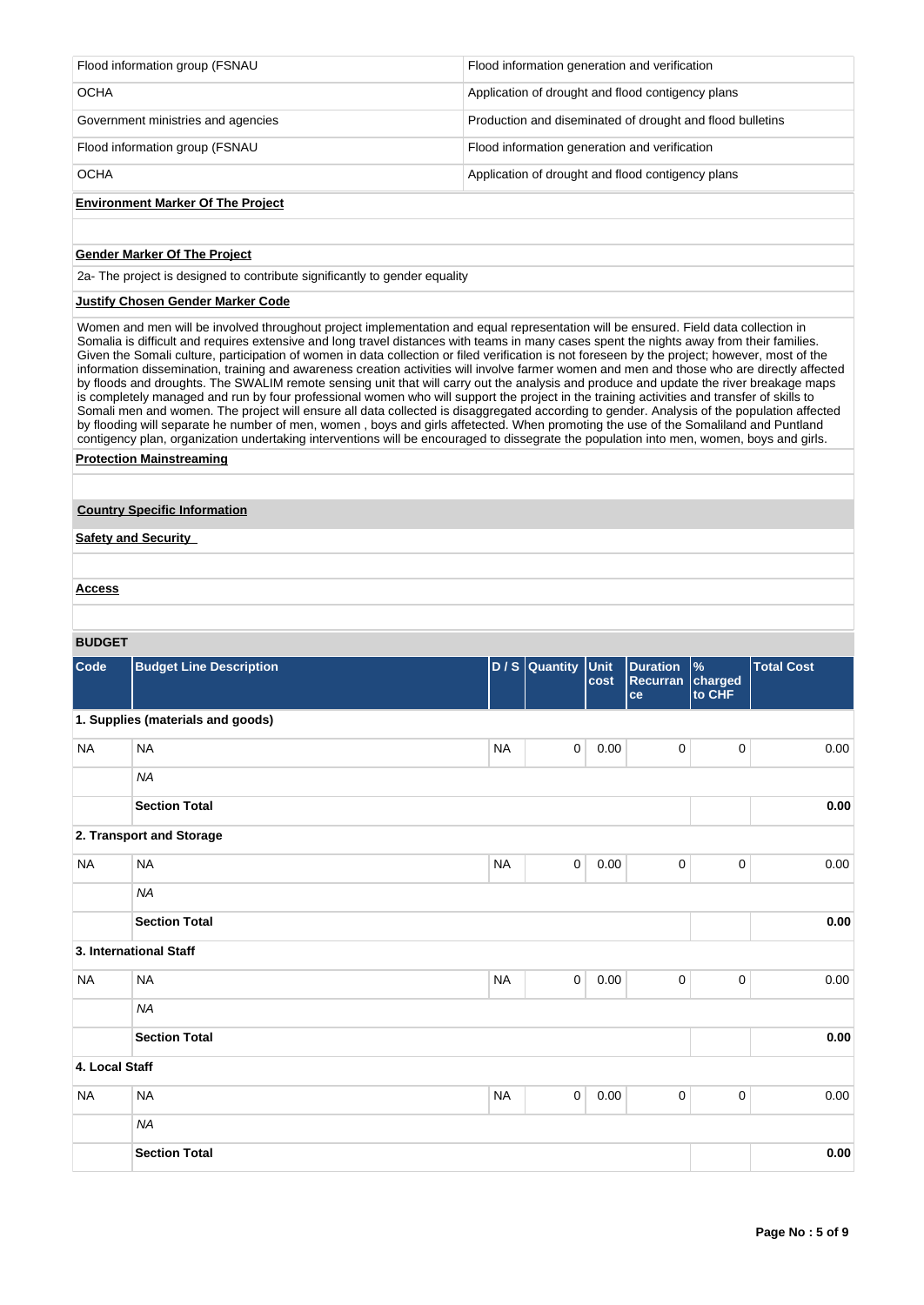| <b>OCHA</b>                        | Application of drought and flood contigency plans         |
|------------------------------------|-----------------------------------------------------------|
| Flood information group (FSNAU     | Flood information generation and verification             |
| Government ministries and agencies | Production and diseminated of drought and flood bulletins |
| <b>OCHA</b>                        | Application of drought and flood contigency plans         |
| Flood information group (FSNAU     | Flood information generation and verification             |
|                                    |                                                           |

# **Environment Marker Of The Project**

## **Gender Marker Of The Project**

2a- The project is designed to contribute significantly to gender equality

## **Justify Chosen Gender Marker Code**

Women and men will be involved throughout project implementation and equal representation will be ensured. Field data collection in Somalia is difficult and requires extensive and long travel distances with teams in many cases spent the nights away from their families. Given the Somali culture, participation of women in data collection or filed verification is not foreseen by the project; however, most of the information dissemination, training and awareness creation activities will involve farmer women and men and those who are directly affected by floods and droughts. The SWALIM remote sensing unit that will carry out the analysis and produce and update the river breakage maps is completely managed and run by four professional women who will support the project in the training activities and transfer of skills to Somali men and women. The project will ensure all data collected is disaggregated according to gender. Analysis of the population affected by flooding will separate he number of men, women , boys and girls affetected. When promoting the use of the Somaliland and Puntland contigency plan, organization undertaking interventions will be encouraged to dissegrate the population into men, women, boys and girls.

#### **Protection Mainstreaming**

#### **Country Specific Information**

**Safety and Security** 

#### **Access**

#### **BUDGET**

| -----          |                                   |           |                     |      |                                          |                                    |                   |
|----------------|-----------------------------------|-----------|---------------------|------|------------------------------------------|------------------------------------|-------------------|
| Code           | <b>Budget Line Description</b>    |           | D / S Quantity Unit | cost | <b>Duration</b><br><b>Recurran</b><br>ce | $\frac{9}{6}$<br>charged<br>to CHF | <b>Total Cost</b> |
|                | 1. Supplies (materials and goods) |           |                     |      |                                          |                                    |                   |
| <b>NA</b>      | <b>NA</b>                         | <b>NA</b> | $\mathbf 0$         | 0.00 | 0                                        | $\pmb{0}$                          | 0.00              |
|                | <b>NA</b>                         |           |                     |      |                                          |                                    |                   |
|                | <b>Section Total</b>              |           |                     |      |                                          |                                    | 0.00              |
|                | 2. Transport and Storage          |           |                     |      |                                          |                                    |                   |
| <b>NA</b>      | <b>NA</b>                         | <b>NA</b> | 0                   | 0.00 | 0                                        | $\mathbf 0$                        | 0.00              |
|                | <b>NA</b>                         |           |                     |      |                                          |                                    |                   |
|                | <b>Section Total</b>              |           |                     |      |                                          |                                    | 0.00              |
|                | 3. International Staff            |           |                     |      |                                          |                                    |                   |
| <b>NA</b>      | <b>NA</b>                         | <b>NA</b> | $\mathbf 0$         | 0.00 | 0                                        | $\pmb{0}$                          | 0.00              |
|                | <b>NA</b>                         |           |                     |      |                                          |                                    |                   |
|                | <b>Section Total</b>              |           |                     |      |                                          |                                    | 0.00              |
| 4. Local Staff |                                   |           |                     |      |                                          |                                    |                   |
| <b>NA</b>      | <b>NA</b>                         | <b>NA</b> | 0                   | 0.00 | 0                                        | $\pmb{0}$                          | 0.00              |
|                | <b>NA</b>                         |           |                     |      |                                          |                                    |                   |
|                | <b>Section Total</b>              |           |                     |      |                                          |                                    | 0.00              |
|                |                                   |           |                     |      |                                          |                                    |                   |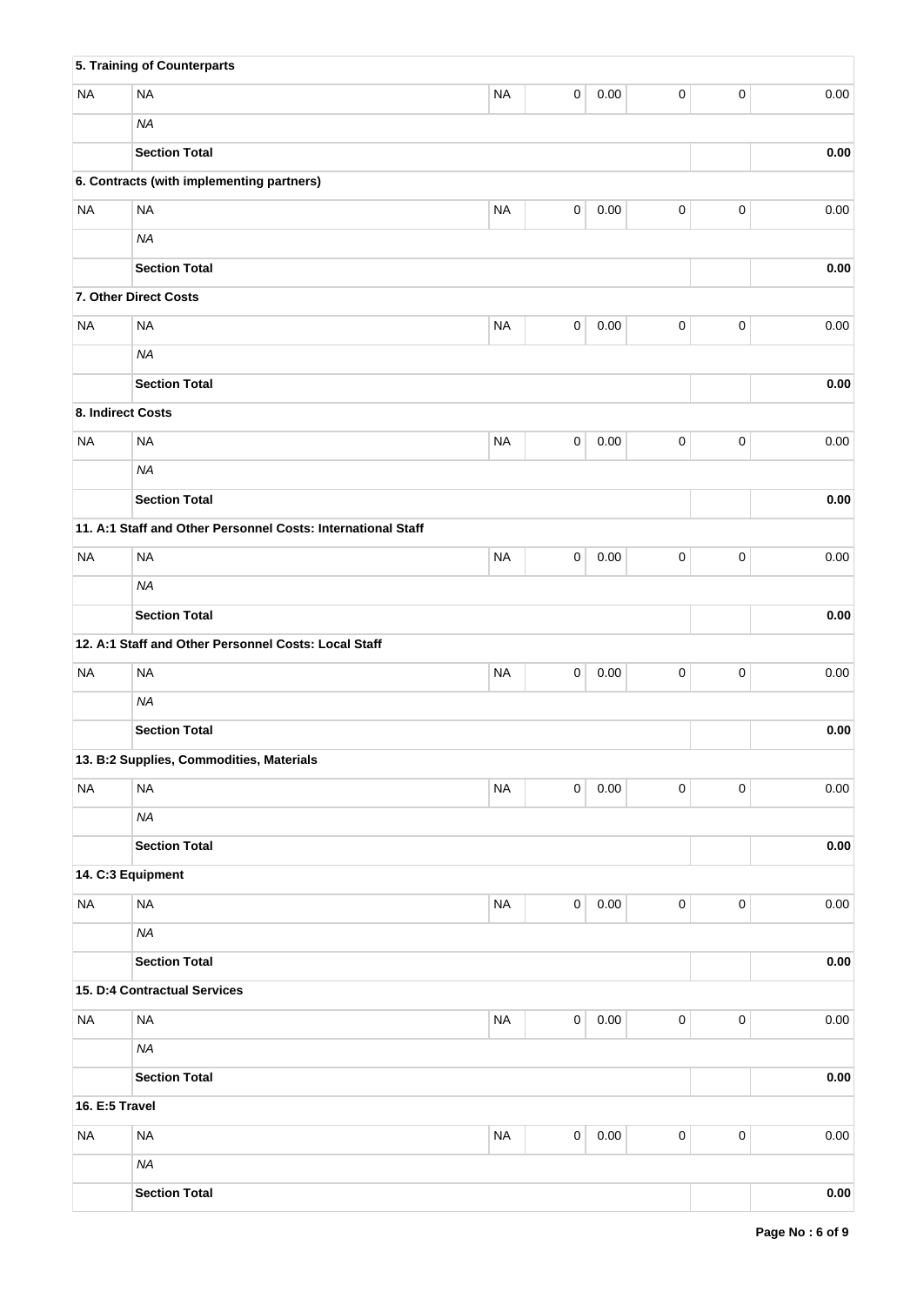|                | 5. Training of Counterparts                                  |           |             |          |                     |           |            |
|----------------|--------------------------------------------------------------|-----------|-------------|----------|---------------------|-----------|------------|
| <b>NA</b>      | <b>NA</b>                                                    | <b>NA</b> | 0           | 0.00     | 0                   | $\pmb{0}$ | 0.00       |
|                | <b>NA</b>                                                    |           |             |          |                     |           |            |
|                | <b>Section Total</b>                                         |           |             |          |                     |           | 0.00       |
|                | 6. Contracts (with implementing partners)                    |           |             |          |                     |           |            |
| <b>NA</b>      | <b>NA</b>                                                    | <b>NA</b> | 0           | 0.00     | 0                   | $\pmb{0}$ | 0.00       |
|                | <b>NA</b>                                                    |           |             |          |                     |           |            |
|                | <b>Section Total</b>                                         |           |             |          |                     |           | 0.00       |
|                | 7. Other Direct Costs                                        |           |             |          |                     |           |            |
| <b>NA</b>      | <b>NA</b>                                                    | <b>NA</b> | $\pmb{0}$   | 0.00     | 0                   | $\pmb{0}$ | 0.00       |
|                | <b>NA</b>                                                    |           |             |          |                     |           |            |
|                | <b>Section Total</b>                                         |           |             |          |                     |           | $0.00\,$   |
|                | 8. Indirect Costs                                            |           |             |          |                     |           |            |
| <b>NA</b>      | <b>NA</b>                                                    | <b>NA</b> | 0           | 0.00     | 0                   | $\pmb{0}$ | 0.00       |
|                | <b>NA</b>                                                    |           |             |          |                     |           |            |
|                | <b>Section Total</b>                                         |           |             |          |                     |           | $0.00\,$   |
|                | 11. A:1 Staff and Other Personnel Costs: International Staff |           |             |          |                     |           |            |
| <b>NA</b>      | <b>NA</b>                                                    | <b>NA</b> | 0           | 0.00     | 0                   | $\pmb{0}$ | 0.00       |
|                | <b>NA</b>                                                    |           |             |          |                     |           |            |
|                | <b>Section Total</b>                                         |           |             |          |                     |           | 0.00       |
|                | 12. A:1 Staff and Other Personnel Costs: Local Staff         |           |             |          |                     |           |            |
| <b>NA</b>      | <b>NA</b>                                                    | <b>NA</b> | 0           | 0.00     | $\mathsf 0$         | $\pmb{0}$ | 0.00       |
|                | <b>NA</b>                                                    |           |             |          |                     |           |            |
|                | <b>Section Total</b>                                         |           |             |          |                     |           | 0.00       |
|                | 13. B:2 Supplies, Commodities, Materials                     |           |             |          |                     |           |            |
| <b>NA</b>      | <b>NA</b>                                                    | <b>NA</b> | $\mathbf 0$ | $0.00\,$ | 0                   | $\pmb{0}$ | 0.00       |
|                | <b>NA</b>                                                    |           |             |          |                     |           |            |
|                | <b>Section Total</b>                                         |           |             |          |                     |           | 0.00       |
|                | 14. C:3 Equipment                                            |           |             |          |                     |           |            |
| <b>NA</b>      | <b>NA</b>                                                    | <b>NA</b> | $\mathbf 0$ | $0.00\,$ | $\mathsf 0$         | $\pmb{0}$ | 0.00       |
|                | <b>NA</b>                                                    |           |             |          |                     |           |            |
|                | <b>Section Total</b>                                         |           |             |          |                     |           | $0.00\,$   |
|                | 15. D:4 Contractual Services                                 |           |             |          |                     |           |            |
| <b>NA</b>      | <b>NA</b>                                                    | $\sf NA$  | $\mathbf 0$ | $0.00\,$ | $\mathsf 0$         | $\pmb{0}$ | 0.00       |
|                | <b>NA</b>                                                    |           |             |          |                     |           |            |
|                | <b>Section Total</b>                                         |           |             |          |                     |           | $\bf 0.00$ |
| 16. E:5 Travel |                                                              |           |             |          |                     |           |            |
| <b>NA</b>      | <b>NA</b>                                                    | <b>NA</b> | $\mathsf 0$ | $0.00\,$ | $\mathsf{O}\xspace$ | $\pmb{0}$ | 0.00       |
|                | <b>NA</b>                                                    |           |             |          |                     |           |            |
|                | <b>Section Total</b>                                         |           |             |          |                     |           | $\bf 0.00$ |
|                |                                                              |           |             |          |                     |           |            |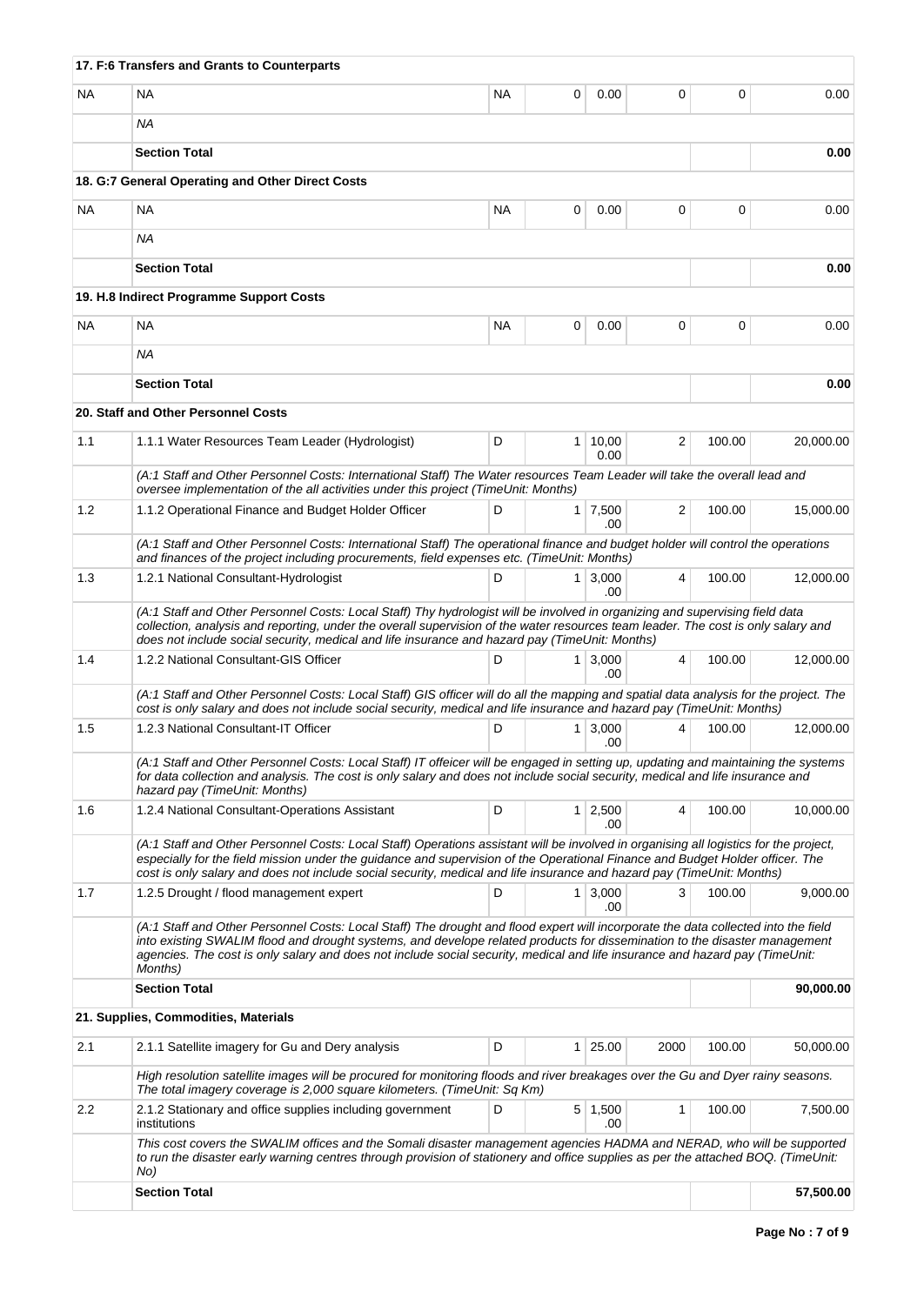|           | 17. F:6 Transfers and Grants to Counterparts                                                                                                                                                                                                                                                                                                                                                                |           |   |                        |      |          |           |
|-----------|-------------------------------------------------------------------------------------------------------------------------------------------------------------------------------------------------------------------------------------------------------------------------------------------------------------------------------------------------------------------------------------------------------------|-----------|---|------------------------|------|----------|-----------|
| <b>NA</b> | <b>NA</b>                                                                                                                                                                                                                                                                                                                                                                                                   | <b>NA</b> | 0 | 0.00                   | 0    | $\Omega$ | 0.00      |
|           | <b>NA</b>                                                                                                                                                                                                                                                                                                                                                                                                   |           |   |                        |      |          |           |
|           | <b>Section Total</b>                                                                                                                                                                                                                                                                                                                                                                                        |           |   |                        |      |          | 0.00      |
|           | 18. G:7 General Operating and Other Direct Costs                                                                                                                                                                                                                                                                                                                                                            |           |   |                        |      |          |           |
| NA.       | NA                                                                                                                                                                                                                                                                                                                                                                                                          | <b>NA</b> | 0 | 0.00                   | 0    | 0        | 0.00      |
|           | ΝA                                                                                                                                                                                                                                                                                                                                                                                                          |           |   |                        |      |          |           |
|           | <b>Section Total</b>                                                                                                                                                                                                                                                                                                                                                                                        |           |   |                        |      |          | 0.00      |
|           | 19. H.8 Indirect Programme Support Costs                                                                                                                                                                                                                                                                                                                                                                    |           |   |                        |      |          |           |
| <b>NA</b> | <b>NA</b>                                                                                                                                                                                                                                                                                                                                                                                                   | <b>NA</b> | 0 | 0.00                   | 0    | $\Omega$ | 0.00      |
|           | ΝA                                                                                                                                                                                                                                                                                                                                                                                                          |           |   |                        |      |          |           |
|           | <b>Section Total</b>                                                                                                                                                                                                                                                                                                                                                                                        |           |   |                        |      |          | 0.00      |
|           | 20. Staff and Other Personnel Costs                                                                                                                                                                                                                                                                                                                                                                         |           |   |                        |      |          |           |
| 1.1       | 1.1.1 Water Resources Team Leader (Hydrologist)                                                                                                                                                                                                                                                                                                                                                             | D         |   | $1 \mid 10,00$<br>0.00 | 2    | 100.00   | 20,000.00 |
|           | (A:1 Staff and Other Personnel Costs: International Staff) The Water resources Team Leader will take the overall lead and<br>oversee implementation of the all activities under this project (TimeUnit: Months)                                                                                                                                                                                             |           |   |                        |      |          |           |
| 1.2       | 1.1.2 Operational Finance and Budget Holder Officer                                                                                                                                                                                                                                                                                                                                                         | D         |   | $1 \mid 7,500$         | 2    | 100.00   | 15,000.00 |
|           | (A:1 Staff and Other Personnel Costs: International Staff) The operational finance and budget holder will control the operations<br>and finances of the project including procurements, field expenses etc. (TimeUnit: Months)                                                                                                                                                                              |           |   | .00                    |      |          |           |
| 1.3       | 1.2.1 National Consultant-Hydrologist                                                                                                                                                                                                                                                                                                                                                                       | D         |   | $1 \mid 3,000$<br>.00  | 4    | 100.00   | 12,000.00 |
|           | (A:1 Staff and Other Personnel Costs: Local Staff) Thy hydrologist will be involved in organizing and supervising field data<br>collection, analysis and reporting, under the overall supervision of the water resources team leader. The cost is only salary and<br>does not include social security, medical and life insurance and hazard pay (TimeUnit: Months)                                         |           |   |                        |      |          |           |
| 1.4       | 1.2.2 National Consultant-GIS Officer                                                                                                                                                                                                                                                                                                                                                                       | D         |   | $1 \mid 3,000$<br>.00  | 4    | 100.00   | 12,000.00 |
|           | (A:1 Staff and Other Personnel Costs: Local Staff) GIS officer will do all the mapping and spatial data analysis for the project. The<br>cost is only salary and does not include social security, medical and life insurance and hazard pay (TimeUnit: Months)                                                                                                                                             |           |   |                        |      |          |           |
| 1.5       | 1.2.3 National Consultant-IT Officer                                                                                                                                                                                                                                                                                                                                                                        | D         |   | $1 \mid 3,000$<br>.00  | 4    | 100.00   | 12,000.00 |
|           | (A:1 Staff and Other Personnel Costs: Local Staff) IT offeicer will be engaged in setting up, updating and maintaining the systems<br>for data collection and analysis. The cost is only salary and does not include social security, medical and life insurance and<br>hazard pay (TimeUnit: Months)                                                                                                       |           |   |                        |      |          |           |
| 1.6       | 1.2.4 National Consultant-Operations Assistant                                                                                                                                                                                                                                                                                                                                                              | D         |   | $1 \mid 2,500$<br>.00  | 4    | 100.00   | 10,000.00 |
|           | (A:1 Staff and Other Personnel Costs: Local Staff) Operations assistant will be involved in organising all logistics for the project,<br>especially for the field mission under the guidance and supervision of the Operational Finance and Budget Holder officer. The<br>cost is only salary and does not include social security, medical and life insurance and hazard pay (TimeUnit: Months)            |           |   |                        |      |          |           |
| 1.7       | 1.2.5 Drought / flood management expert                                                                                                                                                                                                                                                                                                                                                                     | D         |   | $1 \mid 3,000$<br>.00  | 3    | 100.00   | 9,000.00  |
|           | (A:1 Staff and Other Personnel Costs: Local Staff) The drought and flood expert will incorporate the data collected into the field<br>into existing SWALIM flood and drought systems, and develope related products for dissemination to the disaster management<br>agencies. The cost is only salary and does not include social security, medical and life insurance and hazard pay (TimeUnit:<br>Months) |           |   |                        |      |          |           |
|           | <b>Section Total</b>                                                                                                                                                                                                                                                                                                                                                                                        |           |   |                        |      |          | 90,000.00 |
|           | 21. Supplies, Commodities, Materials                                                                                                                                                                                                                                                                                                                                                                        |           |   |                        |      |          |           |
| 2.1       | 2.1.1 Satellite imagery for Gu and Dery analysis                                                                                                                                                                                                                                                                                                                                                            | D         |   | $1 \mid 25.00$         | 2000 | 100.00   | 50,000.00 |
|           | High resolution satellite images will be procured for monitoring floods and river breakages over the Gu and Dyer rainy seasons.<br>The total imagery coverage is 2,000 square kilometers. (TimeUnit: Sq Km)                                                                                                                                                                                                 |           |   |                        |      |          |           |
| 2.2       | 2.1.2 Stationary and office supplies including government<br>institutions                                                                                                                                                                                                                                                                                                                                   | D         |   | $5 \mid 1,500$<br>.00  | 1    | 100.00   | 7,500.00  |
|           | This cost covers the SWALIM offices and the Somali disaster management agencies HADMA and NERAD, who will be supported<br>to run the disaster early warning centres through provision of stationery and office supplies as per the attached BOQ. (TimeUnit:<br>No)                                                                                                                                          |           |   |                        |      |          |           |
|           | <b>Section Total</b>                                                                                                                                                                                                                                                                                                                                                                                        |           |   |                        |      |          | 57,500.00 |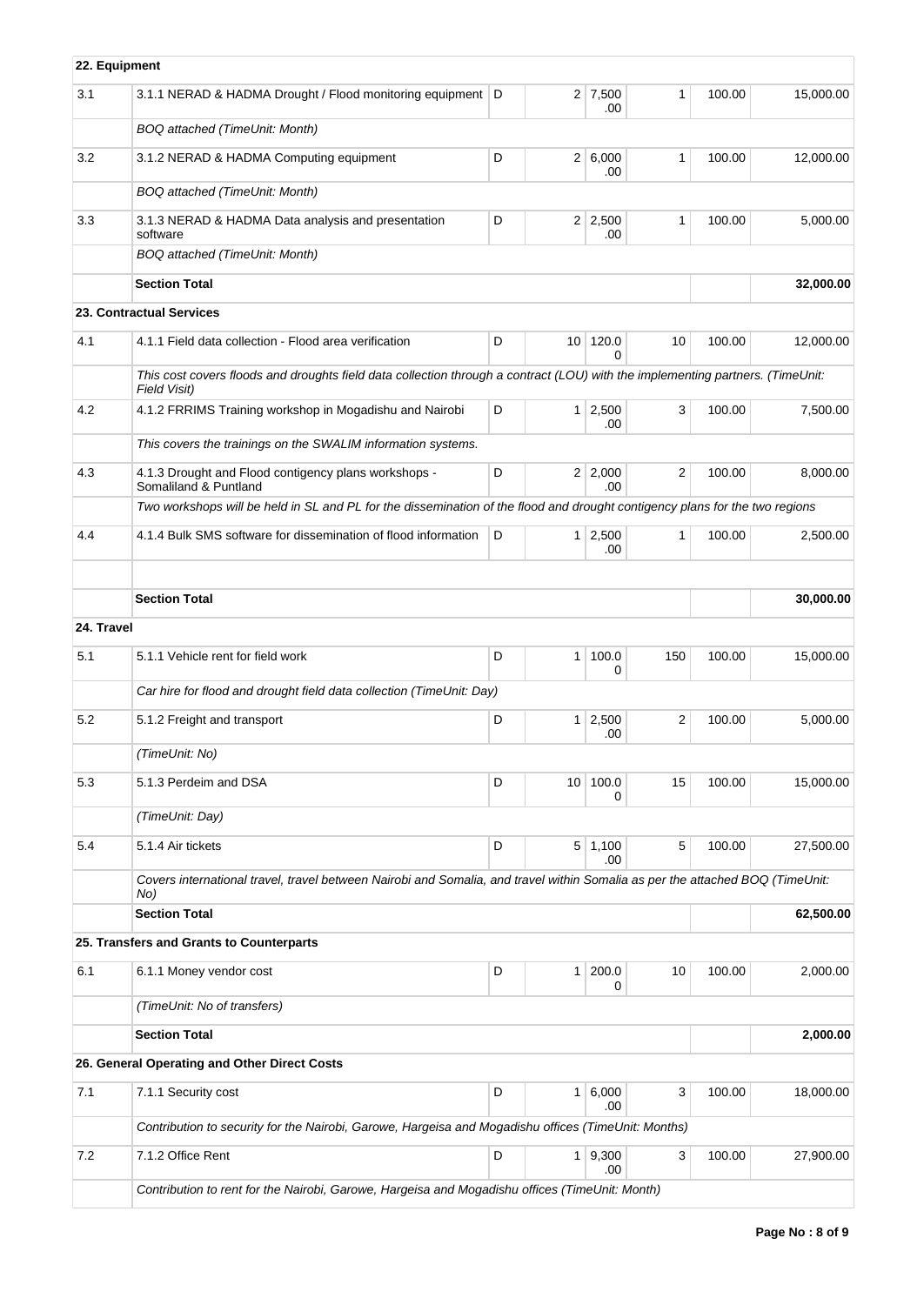| 22. Equipment |                                                                                                                                                |   |                 |                       |                |        |           |
|---------------|------------------------------------------------------------------------------------------------------------------------------------------------|---|-----------------|-----------------------|----------------|--------|-----------|
| 3.1           | 3.1.1 NERAD & HADMA Drought / Flood monitoring equipment   D                                                                                   |   |                 | $2 \mid 7,500$<br>.00 | 1              | 100.00 | 15,000.00 |
|               | BOQ attached (TimeUnit: Month)                                                                                                                 |   |                 |                       |                |        |           |
| 3.2           | 3.1.2 NERAD & HADMA Computing equipment                                                                                                        | D |                 | 2 6,000<br>.00        | $\mathbf{1}$   | 100.00 | 12,000.00 |
|               | <b>BOQ</b> attached (TimeUnit: Month)                                                                                                          |   |                 |                       |                |        |           |
| 3.3           | 3.1.3 NERAD & HADMA Data analysis and presentation<br>software                                                                                 | D |                 | $2 \mid 2,500$<br>.00 | 1              | 100.00 | 5,000.00  |
|               | <b>BOQ</b> attached (TimeUnit: Month)                                                                                                          |   |                 |                       |                |        |           |
|               | <b>Section Total</b>                                                                                                                           |   |                 |                       |                |        | 32,000.00 |
|               | <b>23. Contractual Services</b>                                                                                                                |   |                 |                       |                |        |           |
| 4.1           | 4.1.1 Field data collection - Flood area verification                                                                                          | D | 10 <sup>1</sup> | 120.0<br>$\Omega$     | 10             | 100.00 | 12,000.00 |
|               | This cost covers floods and droughts field data collection through a contract (LOU) with the implementing partners. (TimeUnit:<br>Field Visit) |   |                 |                       |                |        |           |
| 4.2           | 4.1.2 FRRIMS Training workshop in Mogadishu and Nairobi                                                                                        | D |                 | $1 \mid 2,500$<br>.00 | 3              | 100.00 | 7,500.00  |
|               | This covers the trainings on the SWALIM information systems.                                                                                   |   |                 |                       |                |        |           |
| 4.3           | 4.1.3 Drought and Flood contigency plans workshops -<br>Somaliland & Puntland                                                                  | D |                 | 2 2,000<br>.00        | $\overline{2}$ | 100.00 | 8,000.00  |
|               | Two workshops will be held in SL and PL for the dissemination of the flood and drought contigency plans for the two regions                    |   |                 |                       |                |        |           |
| 4.4           | 4.1.4 Bulk SMS software for dissemination of flood information                                                                                 | D |                 | $1 \mid 2,500$<br>.00 | $\mathbf{1}$   | 100.00 | 2,500.00  |
|               | <b>Section Total</b>                                                                                                                           |   |                 |                       |                |        | 30,000.00 |
| 24. Travel    |                                                                                                                                                |   |                 |                       |                |        |           |
| 5.1           | 5.1.1 Vehicle rent for field work                                                                                                              | D | 1 <sup>1</sup>  | 100.0<br>0            | 150            | 100.00 | 15,000.00 |
|               | Car hire for flood and drought field data collection (TimeUnit: Day)                                                                           |   |                 |                       |                |        |           |
| 5.2           | 5.1.2 Freight and transport                                                                                                                    | D |                 | $1 \mid 2,500$<br>.00 | $\overline{2}$ | 100.00 | 5,000.00  |
|               | (TimeUnit: No)                                                                                                                                 |   |                 |                       |                |        |           |
| 5.3           | 5.1.3 Perdeim and DSA                                                                                                                          | D | 10 <sup>1</sup> | 100.0<br>0            | 15             | 100.00 | 15,000.00 |
|               | (TimeUnit: Day)                                                                                                                                |   |                 |                       |                |        |           |
| 5.4           | 5.1.4 Air tickets                                                                                                                              | D |                 | $5 \mid 1,100$<br>.00 | 5              | 100.00 | 27,500.00 |
|               | Covers international travel, travel between Nairobi and Somalia, and travel within Somalia as per the attached BOQ (TimeUnit:<br>No)           |   |                 |                       |                |        |           |
|               | <b>Section Total</b>                                                                                                                           |   |                 |                       |                |        | 62,500.00 |
|               | 25. Transfers and Grants to Counterparts                                                                                                       |   |                 |                       |                |        |           |
| 6.1           | 6.1.1 Money vendor cost                                                                                                                        | D | 1 <sup>1</sup>  | 200.0<br>0            | 10             | 100.00 | 2,000.00  |
|               | (TimeUnit: No of transfers)                                                                                                                    |   |                 |                       |                |        |           |
|               | <b>Section Total</b>                                                                                                                           |   |                 |                       |                |        | 2,000.00  |
|               | 26. General Operating and Other Direct Costs                                                                                                   |   |                 |                       |                |        |           |
| 7.1           | 7.1.1 Security cost                                                                                                                            | D |                 | $1 \ 6,000$<br>.00    | 3              | 100.00 | 18,000.00 |
|               | Contribution to security for the Nairobi, Garowe, Hargeisa and Mogadishu offices (TimeUnit: Months)                                            |   |                 |                       |                |        |           |
| 7.2           | 7.1.2 Office Rent                                                                                                                              | D |                 | 1 9,300<br>.00        | 3              | 100.00 | 27,900.00 |
|               | Contribution to rent for the Nairobi, Garowe, Hargeisa and Mogadishu offices (TimeUnit: Month)                                                 |   |                 |                       |                |        |           |